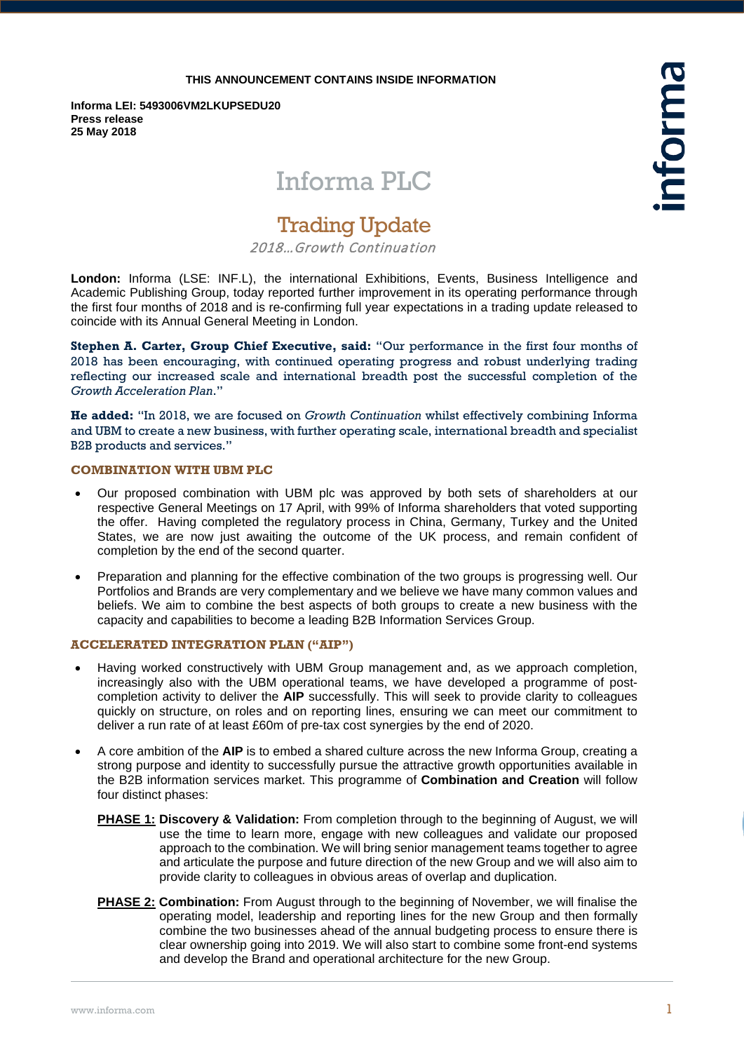### **THIS ANNOUNCEMENT CONTAINS INSIDE INFORMATION**

**Informa LEI: 5493006VM2LKUPSEDU20 Press release 25 May 2018**

# Informa PLC

## Trading Update

2018…Growth Continuation

**London:** Informa (LSE: INF.L), the international Exhibitions, Events, Business Intelligence and Academic Publishing Group, today reported further improvement in its operating performance through the first four months of 2018 and is re-confirming full year expectations in a trading update released to coincide with its Annual General Meeting in London.

**Stephen A. Carter, Group Chief Executive, said:** "Our performance in the first four months of 2018 has been encouraging, with continued operating progress and robust underlying trading reflecting our increased scale and international breadth post the successful completion of the *Growth Acceleration Plan*."

**He added:** "In 2018, we are focused on *Growth Continuation* whilst effectively combining Informa and UBM to create a new business, with further operating scale, international breadth and specialist B2B products and services."

## **COMBINATION WITH UBM PLC**

- Our proposed combination with UBM plc was approved by both sets of shareholders at our respective General Meetings on 17 April, with 99% of Informa shareholders that voted supporting the offer. Having completed the regulatory process in China, Germany, Turkey and the United States, we are now just awaiting the outcome of the UK process, and remain confident of completion by the end of the second quarter.
- Preparation and planning for the effective combination of the two groups is progressing well. Our Portfolios and Brands are very complementary and we believe we have many common values and beliefs. We aim to combine the best aspects of both groups to create a new business with the capacity and capabilities to become a leading B2B Information Services Group.

### **ACCELERATED INTEGRATION PLAN ("AIP")**

- Having worked constructively with UBM Group management and, as we approach completion, increasingly also with the UBM operational teams, we have developed a programme of postcompletion activity to deliver the **AIP** successfully. This will seek to provide clarity to colleagues quickly on structure, on roles and on reporting lines, ensuring we can meet our commitment to deliver a run rate of at least £60m of pre-tax cost synergies by the end of 2020.
- A core ambition of the **AIP** is to embed a shared culture across the new Informa Group, creating a strong purpose and identity to successfully pursue the attractive growth opportunities available in the B2B information services market. This programme of **Combination and Creation** will follow four distinct phases:
	- **PHASE 1: Discovery & Validation:** From completion through to the beginning of August, we will use the time to learn more, engage with new colleagues and validate our proposed approach to the combination. We will bring senior management teams together to agree and articulate the purpose and future direction of the new Group and we will also aim to provide clarity to colleagues in obvious areas of overlap and duplication.
	- **PHASE 2: Combination:** From August through to the beginning of November, we will finalise the operating model, leadership and reporting lines for the new Group and then formally combine the two businesses ahead of the annual budgeting process to ensure there is clear ownership going into 2019. We will also start to combine some front-end systems and develop the Brand and operational architecture for the new Group.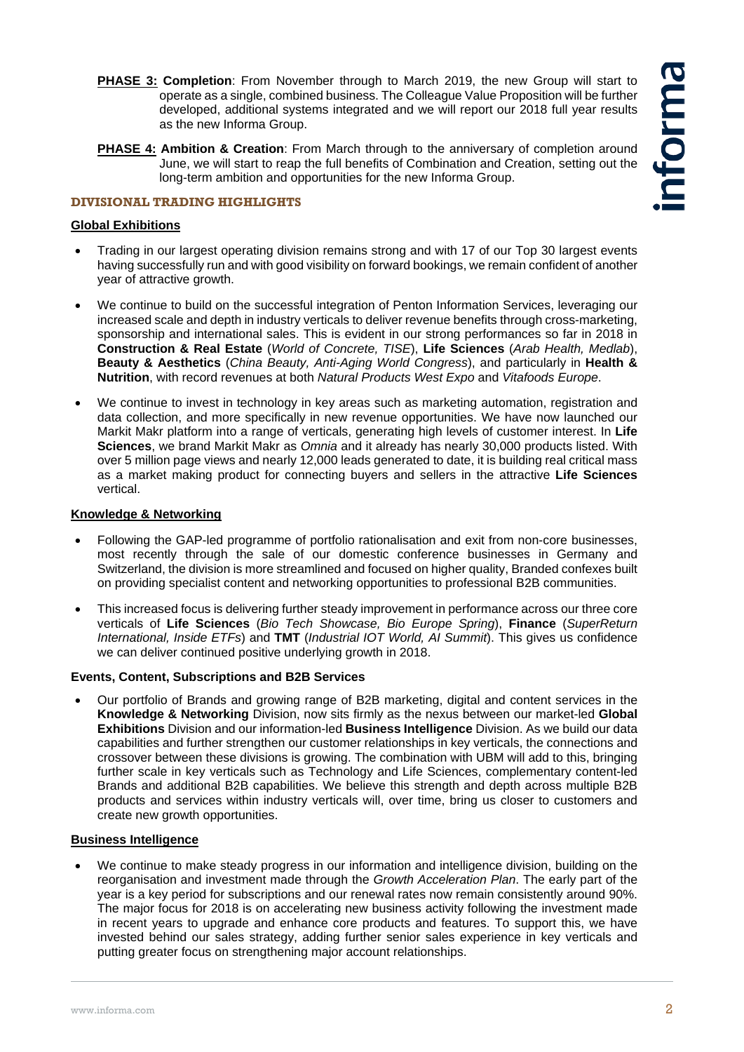- **PHASE 3: Completion**: From November through to March 2019, the new Group will start to operate as a single, combined business. The Colleague Value Proposition will be further developed, additional systems integrated and we will report our 2018 full year results as the new Informa Group.
- **PHASE 4: Ambition & Creation**: From March through to the anniversary of completion around June, we will start to reap the full benefits of Combination and Creation, setting out the long-term ambition and opportunities for the new Informa Group.

## **DIVISIONAL TRADING HIGHLIGHTS**

## **Global Exhibitions**

- Trading in our largest operating division remains strong and with 17 of our Top 30 largest events having successfully run and with good visibility on forward bookings, we remain confident of another year of attractive growth.
- We continue to build on the successful integration of Penton Information Services, leveraging our increased scale and depth in industry verticals to deliver revenue benefits through cross-marketing, sponsorship and international sales. This is evident in our strong performances so far in 2018 in **Construction & Real Estate** (*World of Concrete, TISE*), **Life Sciences** (*Arab Health, Medlab*), **Beauty & Aesthetics** (*China Beauty, Anti-Aging World Congress*), and particularly in **Health & Nutrition**, with record revenues at both *Natural Products West Expo* and *Vitafoods Europe*.
- We continue to invest in technology in key areas such as marketing automation, registration and data collection, and more specifically in new revenue opportunities. We have now launched our Markit Makr platform into a range of verticals, generating high levels of customer interest. In **Life Sciences**, we brand Markit Makr as *Omnia* and it already has nearly 30,000 products listed. With over 5 million page views and nearly 12,000 leads generated to date, it is building real critical mass as a market making product for connecting buyers and sellers in the attractive **Life Sciences** vertical.

## **Knowledge & Networking**

- Following the GAP-led programme of portfolio rationalisation and exit from non-core businesses, most recently through the sale of our domestic conference businesses in Germany and Switzerland, the division is more streamlined and focused on higher quality, Branded confexes built on providing specialist content and networking opportunities to professional B2B communities.
- This increased focus is delivering further steady improvement in performance across our three core verticals of **Life Sciences** (*Bio Tech Showcase, Bio Europe Spring*), **Finance** (*SuperReturn International, Inside ETFs*) and **TMT** (*Industrial IOT World, AI Summit*). This gives us confidence we can deliver continued positive underlying growth in 2018.

## **Events, Content, Subscriptions and B2B Services**

• Our portfolio of Brands and growing range of B2B marketing, digital and content services in the **Knowledge & Networking** Division, now sits firmly as the nexus between our market-led **Global Exhibitions** Division and our information-led **Business Intelligence** Division. As we build our data capabilities and further strengthen our customer relationships in key verticals, the connections and crossover between these divisions is growing. The combination with UBM will add to this, bringing further scale in key verticals such as Technology and Life Sciences, complementary content-led Brands and additional B2B capabilities. We believe this strength and depth across multiple B2B products and services within industry verticals will, over time, bring us closer to customers and create new growth opportunities.

## **Business Intelligence**

• We continue to make steady progress in our information and intelligence division, building on the reorganisation and investment made through the *Growth Acceleration Plan*. The early part of the year is a key period for subscriptions and our renewal rates now remain consistently around 90%. The major focus for 2018 is on accelerating new business activity following the investment made in recent years to upgrade and enhance core products and features. To support this, we have invested behind our sales strategy, adding further senior sales experience in key verticals and putting greater focus on strengthening major account relationships.